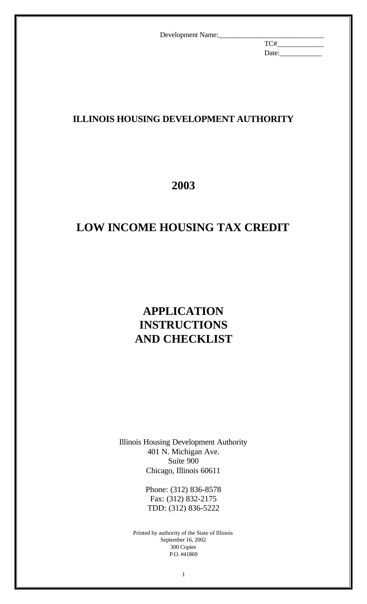TC#\_\_\_\_\_\_\_\_\_\_\_\_\_ Date:\_\_\_\_\_\_\_\_\_\_\_\_

## **ILLINOIS HOUSING DEVELOPMENT AUTHORITY**

# **2003**

# **LOW INCOME HOUSING TAX CREDIT**

# **APPLICATION INSTRUCTIONS AND CHECKLIST**

Illinois Housing Development Authority 401 N. Michigan Ave. Suite 900 Chicago, Illinois 60611

> Phone: (312) 836-8578 Fax: (312) 832-2175 TDD: (312) 836-5222

Printed by authority of the State of Illinois September 16, 2002 300 Copies P.O. #41869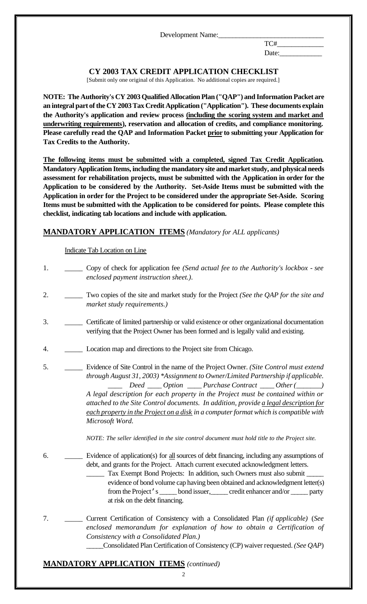TC#\_\_\_\_\_\_\_\_\_\_\_\_\_ Date:\_\_\_\_\_\_\_\_\_\_\_\_

### **CY 2003 TAX CREDIT APPLICATION CHECKLIST**

[Submit only one original of this Application. No additional copies are required.]

**NOTE: The Authority's CY 2003 Qualified Allocation Plan ("QAP") and Information Packet are an integral part of the CY 2003 Tax Credit Application ("Application"). These documents explain the Authority's application and review process (including the scoring system and market and underwriting requirements), reservation and allocation of credits, and compliance monitoring. Please carefully read the QAP and Information Packet prior to submitting your Application for Tax Credits to the Authority.** 

**The following items must be submitted with a completed, signed Tax Credit Application. Mandatory Application Items, including the mandatory site and market study, and physical needs assessment for rehabilitation projects, must be submitted with the Application in order for the Application to be considered by the Authority. Set-Aside Items must be submitted with the Application in order for the Project to be considered under the appropriate Set-Aside. Scoring Items must be submitted with the Application to be considered for points. Please complete this checklist, indicating tab locations and include with application.**

#### **MANDATORY APPLICATION ITEMS** *(Mandatory for ALL applicants)*

Indicate Tab Location on Line

| 1. | Copy of check for application fee (Send actual fee to the Authority's lockbox - see<br>enclosed payment instruction sheet.).                                                                                                                                                                                                                                                                                                                                                                                                                                                                                                   |
|----|--------------------------------------------------------------------------------------------------------------------------------------------------------------------------------------------------------------------------------------------------------------------------------------------------------------------------------------------------------------------------------------------------------------------------------------------------------------------------------------------------------------------------------------------------------------------------------------------------------------------------------|
| 2. | Two copies of the site and market study for the Project (See the QAP for the site and<br>market study requirements.)                                                                                                                                                                                                                                                                                                                                                                                                                                                                                                           |
| 3. | Certificate of limited partnership or valid existence or other organizational documentation<br>verifying that the Project Owner has been formed and is legally valid and existing.                                                                                                                                                                                                                                                                                                                                                                                                                                             |
| 4. | Location map and directions to the Project site from Chicago.                                                                                                                                                                                                                                                                                                                                                                                                                                                                                                                                                                  |
| 5. | Evidence of Site Control in the name of the Project Owner. (Site Control must extend<br>through August 31, 2003) *Assignment to Owner/Limited Partnership if applicable.<br>Deed ____ Option ____ Purchase Contract ____ Other (_____)<br>A legal description for each property in the Project must be contained within or<br>attached to the Site Control documents. In addition, provide a legal description for<br>each property in the Project on a disk in a computer format which is compatible with<br>Microsoft Word.<br>NOTE: The seller identified in the site control document must hold title to the Project site. |
| 6. | Evidence of application(s) for all sources of debt financing, including any assumptions of<br>debt, and grants for the Project. Attach current executed acknowledgment letters.<br>Tax Exempt Bond Projects: In addition, such Owners must also submit<br>evidence of bond volume cap having been obtained and acknowledgment letter(s)<br>from the Project's ______ bond issuer, ______ credit enhancer and/or _____ party<br>at risk on the debt financing.                                                                                                                                                                  |
| 7. | Current Certification of Consistency with a Consolidated Plan (if applicable) (See<br>enclosed memorandum for explanation of how to obtain a Certification of<br>Consistency with a Consolidated Plan.)<br>Consolidated Plan Certification of Consistency (CP) waiver requested. (See QAP)                                                                                                                                                                                                                                                                                                                                     |

### **MANDATORY APPLICATION ITEMS** *(continued)*

 $\mathfrak{D}$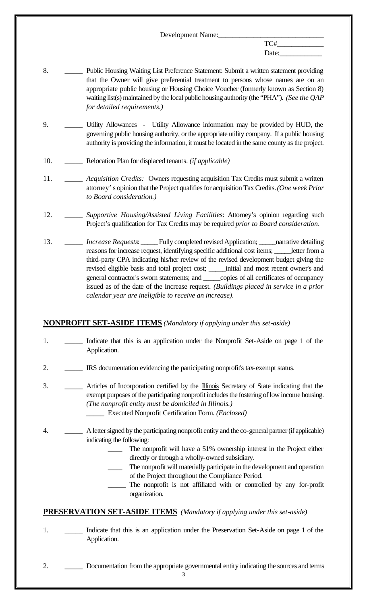$TC#$ Date:\_\_\_\_\_\_\_\_\_\_\_\_

- 8. **\_\_\_\_\_ Public Housing Waiting List Preference Statement: Submit a written statement providing** that the Owner will give preferential treatment to persons whose names are on an appropriate public housing or Housing Choice Voucher (formerly known as Section 8) waiting list(s) maintained by the local public housing authority (the "PHA"). *(See the QAP for detailed requirements.)*
- 9. \_\_\_\_\_ Utility Allowances Utility Allowance information may be provided by HUD, the governing public housing authority, or the appropriate utility company. If a public housing authority is providing the information, it must be located in the same county as the project.
- 10. \_\_\_\_\_ Relocation Plan for displaced tenants. *(if applicable)*
- 11. \_\_\_\_\_ *Acquisition Credits:* Owners requesting acquisition Tax Credits must submit a written attorney's opinion that the Project qualifies for acquisition Tax Credits. *(One week Prior to Board consideration.)*
- 12. \_\_\_\_\_ *Supportive Housing/Assisted Living Facilities*: Attorney's opinion regarding such Project's qualification for Tax Credits may be required *prior to Board consideration*.
- 13. \_\_\_\_\_ *Increase Requests*: \_\_\_\_\_ Fully completed revised Application; \_\_\_\_\_narrative detailing reasons for increase request, identifying specific additional cost items; \_\_\_\_\_letter from a third-party CPA indicating his/her review of the revised development budget giving the revised eligible basis and total project cost; \_\_\_\_\_initial and most recent owner's and general contractor's sworn statements; and \_\_\_\_\_copies of all certificates of occupancy issued as of the date of the Increase request. *(Buildings placed in service in a prior calendar year are ineligible to receive an increase)*.

#### **NONPROFIT SET-ASIDE ITEMS** *(Mandatory if applying under this set-aside)*

- 1. \_\_\_\_\_ Indicate that this is an application under the Nonprofit Set-Aside on page 1 of the Application.
- 2. \_\_\_\_\_ IRS documentation evidencing the participating nonprofit's tax-exempt status.
- 3. \_\_\_\_\_ Articles of Incorporation certified by the **Illinois** Secretary of State indicating that the exempt purposes of the participating nonprofit includes the fostering of low income housing. *(The nonprofit entity must be domiciled in Illinois.)* \_\_\_\_\_ Executed Nonprofit Certification Form. *(Enclosed)*
- 4. \_\_\_\_\_ A letter signed by the participating nonprofit entity and the co-general partner (if applicable) indicating the following:
	- The nonprofit will have a 51% ownership interest in the Project either directly or through a wholly-owned subsidiary.
	- The nonprofit will materially participate in the development and operation of the Project throughout the Compliance Period.
	- The nonprofit is not affiliated with or controlled by any for-profit organization.

#### **PRESERVATION SET-ASIDE ITEMS** *(Mandatory if applying under this set-aside)*

1. \_\_\_\_\_ Indicate that this is an application under the Preservation Set-Aside on page 1 of the Application.

2. Documentation from the appropriate governmental entity indicating the sources and terms

3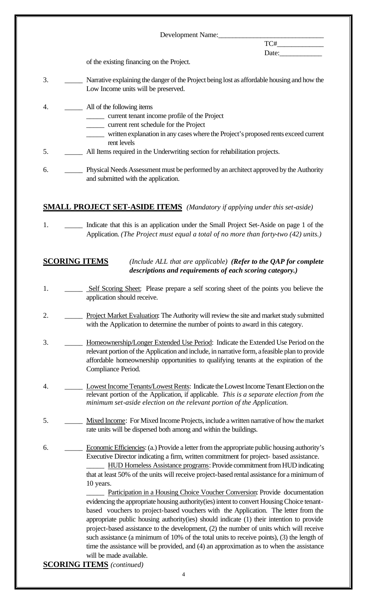Date:\_\_\_\_\_\_\_\_\_\_\_\_

 $TC#$ 

of the existing financing on the Project.

- 3. \_\_\_\_\_ Narrative explaining the danger of the Project being lost as affordable housing and how the Low Income units will be preserved.
- 4. \_\_\_\_\_\_\_\_\_ All of the following items
	- \_\_\_\_\_ current tenant income profile of the Project
	- \_\_\_\_\_ current rent schedule for the Project
	- \_\_\_\_\_ written explanation in any cases where the Project's proposed rents exceed current rent levels
- 5. \_\_\_\_\_ All Items required in the Underwriting section for rehabilitation projects.
- 6. \_\_\_\_\_ Physical Needs Assessment must be performed by an architect approved by the Authority and submitted with the application.

#### **SMALL PROJECT SET-ASIDE ITEMS** *(Mandatory if applying under this set-aside)*

1. \_\_\_\_\_\_\_\_ Indicate that this is an application under the Small Project Set-Aside on page 1 of the Application. *(The Project must equal a total of no more than forty-two (42) units.)*

#### **SCORING ITEMS** *(Include ALL that are applicable) (Refer to the QAP for complete descriptions and requirements of each scoring category.)*

- 1. \_\_\_\_\_\_ Self Scoring Sheet: Please prepare a self scoring sheet of the points you believe the application should receive.
- 2. Project Market Evaluation: The Authority will review the site and market study submitted with the Application to determine the number of points to award in this category.
- 3. \_\_\_\_\_ Homeownership/Longer Extended Use Period: Indicate the Extended Use Period on the relevant portion of the Application and include, in narrative form, a feasible plan to provide affordable homeownership opportunities to qualifying tenants at the expiration of the Compliance Period.
- 4. \_\_\_\_\_ Lowest Income Tenants/Lowest Rents: Indicate the Lowest Income Tenant Election on the relevant portion of the Application, if applicable. *This is a separate election from the minimum set-aside election on the relevant portion of the Application.*
- 5. \_\_\_\_\_ Mixed Income: For Mixed Income Projects, include a written narrative of how the market rate units will be dispersed both among and within the buildings.
- 6. \_\_\_\_\_ Economic Efficiencies: (a.) Provide a letter from the appropriate public housing authority's Executive Director indicating a firm, written commitment for project- based assistance. \_\_\_\_\_ HUD Homeless Assistance programs: Provide commitment from HUD indicating that at least 50% of the units will receive project-based rental assistance for a minimum of 10 years.

Participation in a Housing Choice Voucher Conversion: Provide documentation evidencing the appropriate housing authority(ies) intent to convert Housing Choice tenantbased vouchers to project-based vouchers with the Application. The letter from the appropriate public housing authority(ies) should indicate (1) their intention to provide project-based assistance to the development, (2) the number of units which will receive such assistance (a minimum of 10% of the total units to receive points), (3) the length of time the assistance will be provided, and (4) an approximation as to when the assistance will be made available.

**SCORING ITEMS** *(continued)*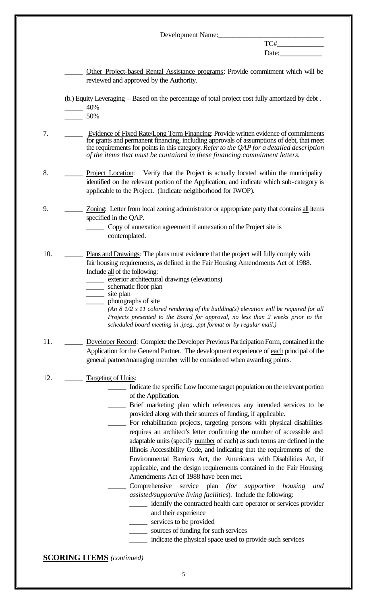Development Name: TC#\_\_\_\_\_\_\_\_\_\_\_\_\_ Date:\_\_\_\_\_\_\_\_\_\_\_\_ Other Project-based Rental Assistance programs: Provide commitment which will be reviewed and approved by the Authority. (b.) Equity Leveraging – Based on the percentage of total project cost fully amortized by debt .  $-40%$ \_\_\_\_\_ 50% 7. **Evidence of Fixed Rate/Long Term Financing: Provide written evidence of commitments** for grants and permanent financing, including approvals of assumptions of debt, that meet the requirements for points in this category. *Refer to the QAP for a detailed description of the items that must be contained in these financing commitment letters.* 8. \_\_\_\_\_ Project Location: Verify that the Project is actually located within the municipality identified on the relevant portion of the Application, and indicate which sub-category is applicable to the Project. (Indicate neighborhood for IWOP). 9. \_\_\_\_\_ Zoning: Letter from local zoning administrator or appropriate party that contains all items specified in the QAP. \_\_\_\_\_ Copy of annexation agreement if annexation of the Project site is contemplated. 10. <u>\_\_\_\_\_</u> Plans and Drawings: The plans must evidence that the project will fully comply with fair housing requirements, as defined in the Fair Housing Amendments Act of 1988. Include all of the following: exterior architectural drawings (elevations) \_\_\_\_\_ schematic floor plan \_\_\_\_\_ site plan \_\_\_\_\_ photographs of site *(An 8 1/2 x 11 colored rendering of the building(s) elevation will be required for all Projects presented to the Board for approval, no less than 2 weeks prior to the scheduled board meeting in .jpeg, .ppt format or by regular mail.)* 11. **\_\_\_\_\_\_ Developer Record:** Complete the Developer Previous Participation Form, contained in the Application for the General Partner. The development experience of each principal of the general partner/managing member will be considered when awarding points. 12. \_\_\_\_\_\_\_\_ Targeting of Units: Indicate the specific Low Income target population on the relevant portion of the Application*.* \_\_\_\_\_ Brief marketing plan which references any intended services to be provided along with their sources of funding, if applicable. For rehabilitation projects, targeting persons with physical disabilities requires an architect's letter confirming the number of accessible and adaptable units (specify number of each) as such terms are defined in the Illinois Accessibility Code, and indicating that the requirements of the Environmental Barriers Act, the Americans with Disabilities Act, if applicable, and the design requirements contained in the Fair Housing Amendments Act of 1988 have been met*.* \_\_\_\_\_ Comprehensive service plan *(for supportive housing and assisted/supportive living facilitie*s). Include the following: \_\_\_\_\_ identify the contracted health care operator or services provider and their experience \_\_\_\_\_ services to be provided \_\_\_\_\_ sources of funding for such services \_\_\_\_\_ indicate the physical space used to provide such services **SCORING ITEMS** *(continued)*

5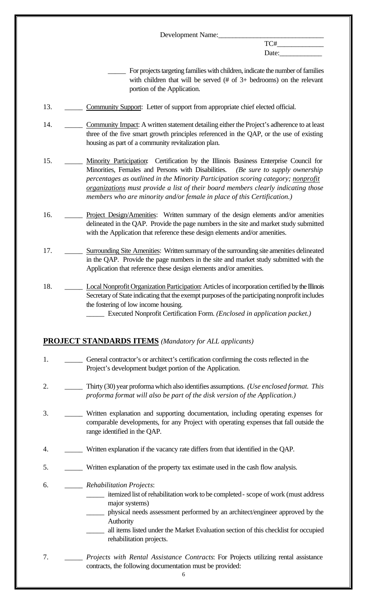TC#\_\_\_\_\_\_\_\_\_\_\_\_\_ Date:\_\_\_\_\_\_\_\_\_\_\_\_

> For projects targeting families with children, indicate the number of families with children that will be served (# of 3+ bedrooms) on the relevant portion of the Application.

- 13. **\_\_\_\_\_\_ Community Support:** Letter of support from appropriate chief elected official.
- 14. Community Impact: A written statement detailing either the Project's adherence to at least three of the five smart growth principles referenced in the QAP, or the use of existing housing as part of a community revitalization plan.
- 15. \_\_\_\_\_ Minority Participation: Certification by the Illinois Business Enterprise Council for Minorities, Females and Persons with Disabilities. *(Be sure to supply ownership percentages as outlined in the Minority Participation scoring category; nonprofit organizations must provide a list of their board members clearly indicating those members who are minority and/or female in place of this Certification.)*
- 16. \_\_\_\_\_ Project Design/Amenities: Written summary of the design elements and/or amenities delineated in the QAP. Provide the page numbers in the site and market study submitted with the Application that reference these design elements and/or amenities.
- 17. \_\_\_\_\_ Surrounding Site Amenities: Written summary of the surrounding site amenities delineated in the QAP. Provide the page numbers in the site and market study submitted with the Application that reference these design elements and/or amenities.
- 18. **Local Nonprofit Organization Participation:** Articles of incorporation certified by the Illinois Secretary of State indicating that the exempt purposes of the participating nonprofit includes the fostering of low income housing.
	- \_\_\_\_\_ Executed Nonprofit Certification Form. *(Enclosed in application packet.)*

#### **PROJECT STANDARDS ITEMS** *(Mandatory for ALL applicants)*

- 1. **\_\_\_\_\_** General contractor's or architect's certification confirming the costs reflected in the Project's development budget portion of the Application.
- 2. \_\_\_\_\_ Thirty (30) year proforma which also identifies assumptions. *(Use enclosed format. This proforma format will also be part of the disk version of the Application.)*
- 3. \_\_\_\_\_ Written explanation and supporting documentation, including operating expenses for comparable developments, for any Project with operating expenses that fall outside the range identified in the QAP.
- 4. \_\_\_\_\_ Written explanation if the vacancy rate differs from that identified in the QAP.
- 5. \_\_\_\_\_ Written explanation of the property tax estimate used in the cash flow analysis.
- 6. \_\_\_\_\_ *Rehabilitation Projects*:
	- \_\_\_\_\_ itemized list of rehabilitation work to be completed scope of work (must address major systems)
	- \_\_\_\_\_ physical needs assessment performed by an architect/engineer approved by the Authority
	- all items listed under the Market Evaluation section of this checklist for occupied rehabilitation projects.
- 7. \_\_\_\_\_ *Projects with Rental Assistance Contracts*: For Projects utilizing rental assistance contracts, the following documentation must be provided: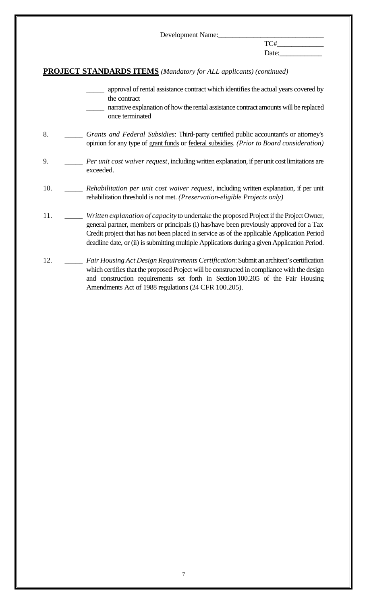$TC#$ Date:\_\_\_\_\_\_\_\_\_\_\_\_

## **PROJECT STANDARDS ITEMS** *(Mandatory for ALL applicants) (continued)*

- approval of rental assistance contract which identifies the actual years covered by the contract
- narrative explanation of how the rental assistance contract amounts will be replaced once terminated
- 8. \_\_\_\_\_ *Grants and Federal Subsidies*: Third-party certified public accountant's or attorney's opinion for any type of grant funds or federal subsidies. *(Prior to Board consideration)*
- 9. \_\_\_\_\_ *Per unit cost waiver request*, including written explanation, if per unit cost limitations are exceeded.
- 10. \_\_\_\_\_ *Rehabilitation per unit cost waiver request*, including written explanation, if per unit rehabilitation threshold is not met. *(Preservation-eligible Projects only)*
- 11. \_\_\_\_\_ *Written explanation of capacity* to undertake the proposed Project if the Project Owner, general partner, members or principals (i) has/have been previously approved for a Tax Credit project that has not been placed in service as of the applicable Application Period deadline date, or (ii) is submitting multiple Applications during a given Application Period.
- 12. \_\_\_\_\_ *Fair Housing Act Design Requirements Certification*: Submit an architect's certification which certifies that the proposed Project will be constructed in compliance with the design and construction requirements set forth in Section 100.205 of the Fair Housing Amendments Act of 1988 regulations (24 CFR 100.205).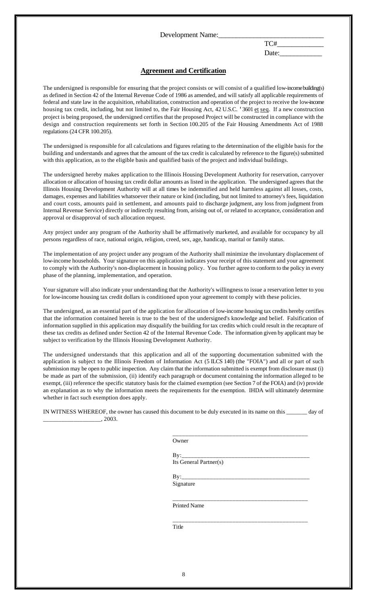$TC#$ 

#### Date:\_\_\_\_\_\_\_\_\_\_\_\_

#### **Agreement and Certification**

The undersigned is responsible for ensuring that the project consists or will consist of a qualified low-income building(s) as defined in Section 42 of the Internal Revenue Code of 1986 as amended, and will satisfy all applicable requirements of federal and state law in the acquisition, rehabilitation, construction and operation of the project to receive the low-income housing tax credit, including, but not limited to, the Fair Housing Act, 42 U.S.C. '3601 et seq. If a new construction project is being proposed, the undersigned certifies that the proposed Project will be constructed in compliance with the design and construction requirements set forth in Section 100.205 of the Fair Housing Amendments Act of 1988 regulations (24 CFR 100.205).

The undersigned is responsible for all calculations and figures relating to the determination of the eligible basis for the building and understands and agrees that the amount of the tax credit is calculated by reference to the figure(s) submitted with this application, as to the eligible basis and qualified basis of the project and individual buildings.

The undersigned hereby makes application to the Illinois Housing Development Authority for reservation, carryover allocation or allocation of housing tax credit dollar amounts as listed in the application. The undersigned agrees that the Illinois Housing Development Authority will at all times be indemnified and held harmless against all losses, costs, damages, expenses and liabilities whatsoever their nature or kind (including, but not limited to attorney's fees, liquidation and court costs, amounts paid in settlement, and amounts paid to discharge judgment, any loss from judgment from Internal Revenue Service) directly or indirectly resulting from, arising out of, or related to acceptance, consideration and approval or disapproval of such allocation request.

Any project under any program of the Authority shall be affirmatively marketed, and available for occupancy by all persons regardless of race, national origin, religion, creed, sex, age, handicap, marital or family status.

The implementation of any project under any program of the Authority shall minimize the involuntary displacement of low-income households. Your signature on this application indicates your receipt of this statement and your agreement to comply with the Authority's non-displacement in housing policy. You further agree to conform to the policy in every phase of the planning, implementation, and operation.

Your signature will also indicate your understanding that the Authority's willingness to issue a reservation letter to you for low-income housing tax credit dollars is conditioned upon your agreement to comply with these policies.

The undersigned, as an essential part of the application for allocation of low-income housing tax credits hereby certifies that the information contained herein is true to the best of the undersigned's knowledge and belief. Falsification of information supplied in this application may disqualify the building for tax credits which could result in the recapture of these tax credits as defined under Section 42 of the Internal Revenue Code. The information given by applicant may be subject to verification by the Illinois Housing Development Authority.

The undersigned understands that this application and all of the supporting documentation submitted with the application is subject to the Illinois Freedom of Information Act (5 ILCS 140) (the "FOIA") and all or part of such submission may be open to public inspection. Any claim that the information submitted is exempt from disclosure must (i) be made as part of the submission, (ii) identify each paragraph or document containing the information alleged to be exempt, (iii) reference the specific statutory basis for the claimed exemption (see Section 7 of the FOIA) and (iv) provide an explanation as to why the information meets the requirements for the exemption. IHDA will ultimately determine whether in fact such exemption does apply.

IN WITNESS WHEREOF, the owner has caused this document to be duly executed in its name on this \_\_\_\_\_\_\_ day of \_\_\_\_\_\_\_\_\_\_\_\_\_\_\_\_\_\_\_, 2003.

Owner

By:\_\_\_\_\_\_\_\_\_\_\_\_\_\_\_\_\_\_\_\_\_\_\_\_\_\_\_\_\_\_\_\_\_\_\_\_\_\_\_\_\_ Its General Partner(s)

\_\_\_\_\_\_\_\_\_\_\_\_\_\_\_\_\_\_\_\_\_\_\_\_\_\_\_\_\_\_\_\_\_\_\_\_\_\_\_\_\_\_\_

\_\_\_\_\_\_\_\_\_\_\_\_\_\_\_\_\_\_\_\_\_\_\_\_\_\_\_\_\_\_\_\_\_\_\_\_\_\_\_\_\_\_\_

By:\_\_\_\_\_\_\_\_\_\_\_\_\_\_\_\_\_\_\_\_\_\_\_\_\_\_\_\_\_\_\_\_\_\_\_\_\_\_\_\_\_ Signature

\_\_\_\_\_\_\_\_\_\_\_\_\_\_\_\_\_\_\_\_\_\_\_\_\_\_\_\_\_\_\_\_\_\_\_\_\_\_\_\_\_\_\_ Printed Name

Title